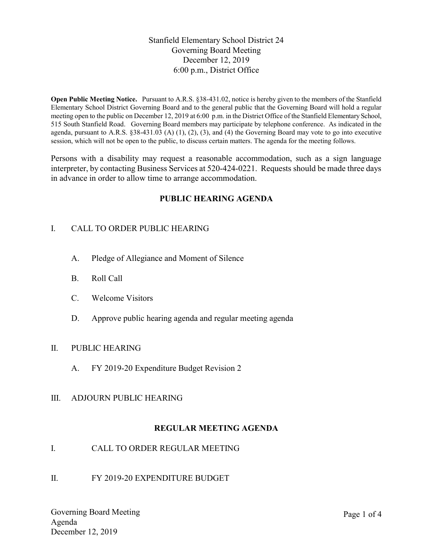Stanfield Elementary School District 24 Governing Board Meeting December 12, 2019 6:00 p.m., District Office

Open Public Meeting Notice. Pursuant to A.R.S. §38-431.02, notice is hereby given to the members of the Stanfield Elementary School District Governing Board and to the general public that the Governing Board will hold a regular meeting open to the public on December 12, 2019 at 6:00 p.m. in the District Office of the Stanfield Elementary School, 515 South Stanfield Road. Governing Board members may participate by telephone conference. As indicated in the agenda, pursuant to A.R.S.  $\S 38-431.03$  (A) (1), (2), (3), and (4) the Governing Board may vote to go into executive session, which will not be open to the public, to discuss certain matters. The agenda for the meeting follows.

Persons with a disability may request a reasonable accommodation, such as a sign language interpreter, by contacting Business Services at 520-424-0221. Requests should be made three days in advance in order to allow time to arrange accommodation.

# PUBLIC HEARING AGENDA

# I. CALL TO ORDER PUBLIC HEARING

- A. Pledge of Allegiance and Moment of Silence
- B. Roll Call
- C. Welcome Visitors
- D. Approve public hearing agenda and regular meeting agenda

#### II. PUBLIC HEARING

- A. FY 2019-20 Expenditure Budget Revision 2
- III. ADJOURN PUBLIC HEARING

# REGULAR MEETING AGENDA

- I. CALL TO ORDER REGULAR MEETING
- II. FY 2019-20 EXPENDITURE BUDGET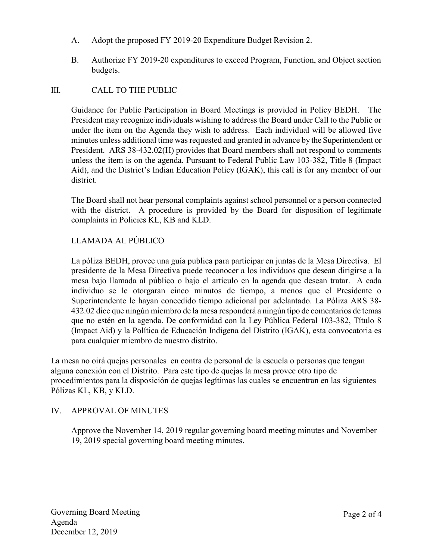- A. Adopt the proposed FY 2019-20 Expenditure Budget Revision 2.
- B. Authorize FY 2019-20 expenditures to exceed Program, Function, and Object section budgets.

# III. CALL TO THE PUBLIC

Guidance for Public Participation in Board Meetings is provided in Policy BEDH. The President may recognize individuals wishing to address the Board under Call to the Public or under the item on the Agenda they wish to address. Each individual will be allowed five minutes unless additional time was requested and granted in advance by the Superintendent or President. ARS 38-432.02(H) provides that Board members shall not respond to comments unless the item is on the agenda. Pursuant to Federal Public Law 103-382, Title 8 (Impact Aid), and the District's Indian Education Policy (IGAK), this call is for any member of our district.

The Board shall not hear personal complaints against school personnel or a person connected with the district. A procedure is provided by the Board for disposition of legitimate complaints in Policies KL, KB and KLD.

# LLAMADA AL PÚBLICO

La póliza BEDH, provee una guía publica para participar en juntas de la Mesa Directiva. El presidente de la Mesa Directiva puede reconocer a los individuos que desean dirigirse a la mesa bajo llamada al público o bajo el artículo en la agenda que desean tratar. A cada individuo se le otorgaran cinco minutos de tiempo, a menos que el Presidente o Superintendente le hayan concedido tiempo adicional por adelantado. La Póliza ARS 38- 432.02 dice que ningún miembro de la mesa responderá a ningún tipo de comentarios de temas que no estén en la agenda. De conformidad con la Ley Pública Federal 103-382, Título 8 (Impact Aid) y la Política de Educación Indígena del Distrito (IGAK), esta convocatoria es para cualquier miembro de nuestro distrito.

La mesa no oirá quejas personales en contra de personal de la escuela o personas que tengan alguna conexión con el Distrito. Para este tipo de quejas la mesa provee otro tipo de procedimientos para la disposición de quejas legítimas las cuales se encuentran en las siguientes Pólizas KL, KB, y KLD.

# IV. APPROVAL OF MINUTES

Approve the November 14, 2019 regular governing board meeting minutes and November 19, 2019 special governing board meeting minutes.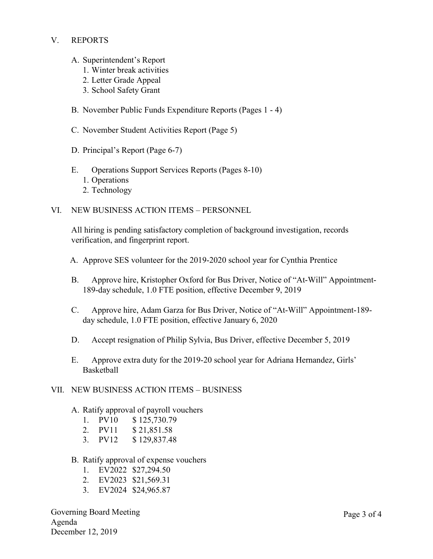## V. REPORTS

- A. Superintendent's Report
	- 1. Winter break activities
	- 2. Letter Grade Appeal
	- 3. School Safety Grant
- B. November Public Funds Expenditure Reports (Pages 1 4)
- C. November Student Activities Report (Page 5)
- D. Principal's Report (Page 6-7)
- E. Operations Support Services Reports (Pages 8-10)
	- 1. Operations
	- 2. Technology
- VI. NEW BUSINESS ACTION ITEMS PERSONNEL

All hiring is pending satisfactory completion of background investigation, records verification, and fingerprint report.

- A. Approve SES volunteer for the 2019-2020 school year for Cynthia Prentice
- B. Approve hire, Kristopher Oxford for Bus Driver, Notice of "At-Will" Appointment-189-day schedule, 1.0 FTE position, effective December 9, 2019
- C. Approve hire, Adam Garza for Bus Driver, Notice of "At-Will" Appointment-189 day schedule, 1.0 FTE position, effective January 6, 2020
- D. Accept resignation of Philip Sylvia, Bus Driver, effective December 5, 2019
- E. Approve extra duty for the 2019-20 school year for Adriana Hernandez, Girls' Basketball

#### VII. NEW BUSINESS ACTION ITEMS – BUSINESS

- A. Ratify approval of payroll vouchers
	- 1. PV10 \$ 125,730.79
	- 2. PV11 \$ 21,851.58
	- 3. PV12 \$ 129,837.48
- B. Ratify approval of expense vouchers
	- 1. EV2022 \$27,294.50
	- 2. EV2023 \$21,569.31
	- 3. EV2024 \$24,965.87

Governing Board Meeting Agenda December 12, 2019